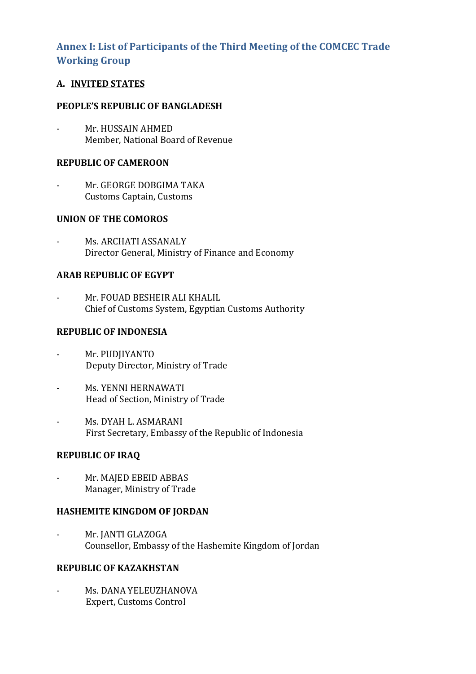# **Annex I: List of Participants of the Third Meeting of the COMCEC Trade Working Group**

# **A. INVITED STATES**

## **PEOPLE'S REPUBLIC OF BANGLADESH**

Mr. HUSSAIN AHMED Member, National Board of Revenue

# **REPUBLIC OF CAMEROON**

Mr. GEORGE DOBGIMA TAKA Customs Captain, Customs

# **UNION OF THE COMOROS**

Ms. ARCHATI ASSANALY Director General, Ministry of Finance and Economy

# **ARAB REPUBLIC OF EGYPT**

Mr. FOUAD BESHEIR ALI KHALIL Chief of Customs System, Egyptian Customs Authority

### **REPUBLIC OF INDONESIA**

- Mr. PUDJIYANTO Deputy Director, Ministry of Trade
- Ms. YENNI HERNAWATI Head of Section, Ministry of Trade
- Ms. DYAH L. ASMARANI First Secretary, Embassy of the Republic of Indonesia

### **REPUBLIC OF IRAQ**

Mr. MAJED EBEID ABBAS Manager, Ministry of Trade

### **HASHEMITE KINGDOM OF JORDAN**

Mr. JANTI GLAZOGA Counsellor, Embassy of the Hashemite Kingdom of Jordan

## **REPUBLIC OF KAZAKHSTAN**

- Ms. DANA YELEUZHANOVA Expert, Customs Control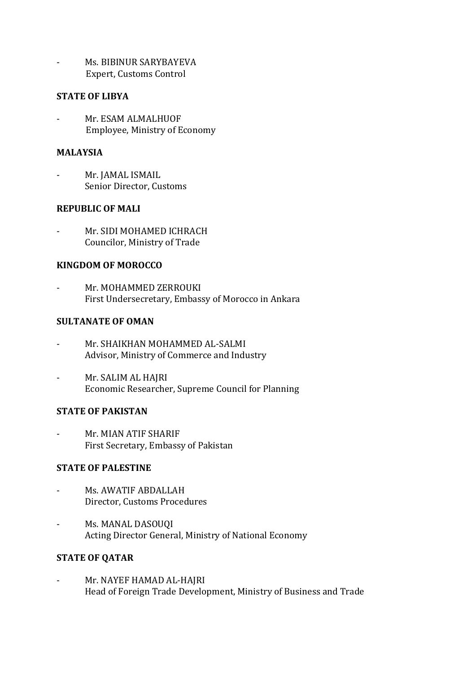Ms. BIBINUR SARYBAYEVA Expert, Customs Control

### **STATE OF LIBYA**

Mr. ESAM ALMALHUOF Employee, Ministry of Economy

#### **MALAYSIA**

Mr. JAMAL ISMAIL Senior Director, Customs

### **REPUBLIC OF MALI**

Mr. SIDI MOHAMED ICHRACH Councilor, Ministry of Trade

### **KINGDOM OF MOROCCO**

Mr. MOHAMMED ZERROUKI First Undersecretary, Embassy of Morocco in Ankara

# **SULTANATE OF OMAN**

- Mr. SHAIKHAN MOHAMMED AL-SALMI Advisor, Ministry of Commerce and Industry
- Mr. SALIM AL HAJRI Economic Researcher, Supreme Council for Planning

### **STATE OF PAKISTAN**

- Mr. MIAN ATIF SHARIF First Secretary, Embassy of Pakistan

# **STATE OF PALESTINE**

- Ms. AWATIF ABDALLAH Director, Customs Procedures
- Ms. MANAL DASOUQI Acting Director General, Ministry of National Economy

### **STATE OF QATAR**

- Mr. NAYEF HAMAD AL-HAJRI Head of Foreign Trade Development, Ministry of Business and Trade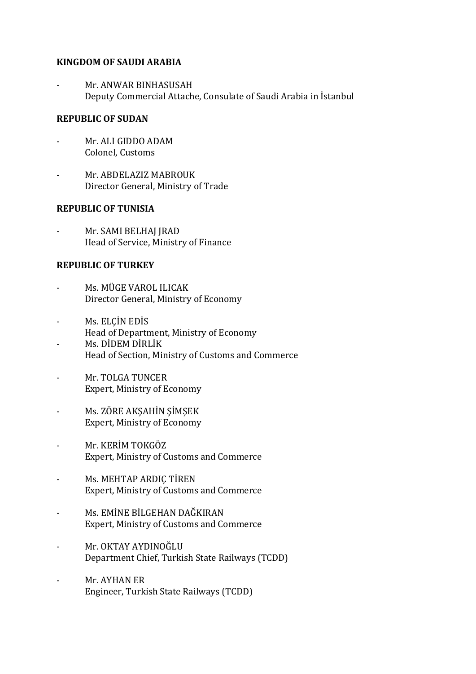#### **KINGDOM OF SAUDI ARABIA**

Mr. ANWAR BINHASUSAH Deputy Commercial Attache, Consulate of Saudi Arabia in İstanbul

### **REPUBLIC OF SUDAN**

- Mr. ALI GIDDO ADAM Colonel, Customs
- Mr. ABDELAZIZ MABROUK Director General, Ministry of Trade

## **REPUBLIC OF TUNISIA**

Mr. SAMI BELHAJ JRAD Head of Service, Ministry of Finance

### **REPUBLIC OF TURKEY**

- Ms. MÜGE VAROL ILICAK Director General, Ministry of Economy
- Ms. ELÇİN EDİS Head of Department, Ministry of Economy
- Ms. DİDEM DİRLİK Head of Section, Ministry of Customs and Commerce
- Mr. TOLGA TUNCER Expert, Ministry of Economy
- Ms. ZÖRE AKŞAHİN ŞİMŞEK Expert, Ministry of Economy
- Mr. KERİM TOKGÖZ Expert, Ministry of Customs and Commerce
- Ms. MEHTAP ARDIÇ TİREN Expert, Ministry of Customs and Commerce
- Ms. EMİNE BİLGEHAN DAĞKIRAN Expert, Ministry of Customs and Commerce
- Mr. OKTAY AYDINOĞLU Department Chief, Turkish State Railways (TCDD)
- Mr. AYHAN ER Engineer, Turkish State Railways (TCDD)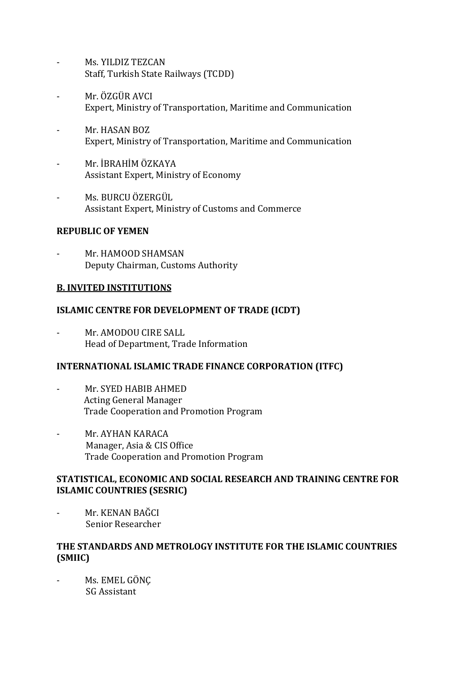- Ms. YILDIZ TEZCAN Staff, Turkish State Railways (TCDD)
- Mr. ÖZGÜR AVCI Expert, Ministry of Transportation, Maritime and Communication
- Mr. HASAN BOZ Expert, Ministry of Transportation, Maritime and Communication
- Mr. İBRAHİM ÖZKAYA Assistant Expert, Ministry of Economy
- Ms. BURCU ÖZERGÜL Assistant Expert, Ministry of Customs and Commerce

# **REPUBLIC OF YEMEN**

Mr. HAMOOD SHAMSAN Deputy Chairman, Customs Authority

# **B. INVITED INSTITUTIONS**

# **ISLAMIC CENTRE FOR DEVELOPMENT OF TRADE (ICDT)**

Mr. AMODOU CIRE SALL Head of Department, Trade Information

### **INTERNATIONAL ISLAMIC TRADE FINANCE CORPORATION (ITFC)**

- Mr. SYED HABIB AHMED Acting General Manager Trade Cooperation and Promotion Program
- Mr. AYHAN KARACA Manager, Asia & CIS Office Trade Cooperation and Promotion Program

### **STATISTICAL, ECONOMIC AND SOCIAL RESEARCH AND TRAINING CENTRE FOR ISLAMIC COUNTRIES (SESRIC)**

Mr. KENAN BAĞCI Senior Researcher

# **THE STANDARDS AND METROLOGY INSTITUTE FOR THE ISLAMIC COUNTRIES (SMIIC)**

- Ms. EMEL GÖNÇ SG Assistant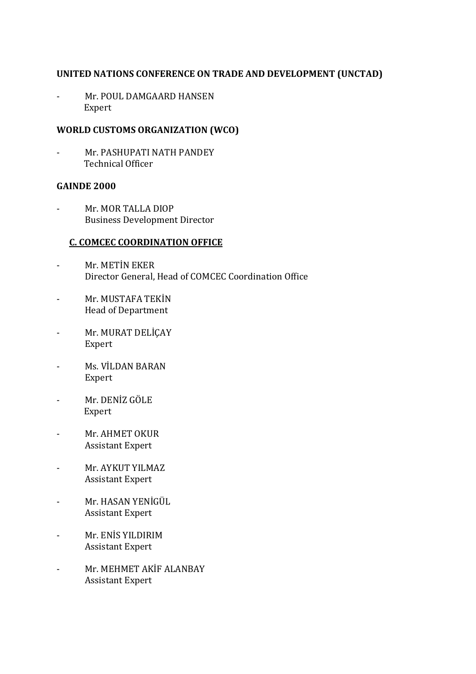#### **UNITED NATIONS CONFERENCE ON TRADE AND DEVELOPMENT (UNCTAD)**

- Mr. POUL DAMGAARD HANSEN Expert

## **WORLD CUSTOMS ORGANIZATION (WCO)**

Mr. PASHUPATI NATH PANDEY Technical Officer

#### **GAINDE 2000**

- Mr. MOR TALLA DIOP Business Development Director

### **C. COMCEC COORDINATION OFFICE**

- Mr. METİN EKER Director General, Head of COMCEC Coordination Office
- Mr. MUSTAFA TEKİN Head of Department
- Mr. MURAT DELİÇAY Expert
- Ms. VİLDAN BARAN Expert
- Mr. DENİZ GÖLE Expert
- Mr. AHMET OKUR Assistant Expert
- Mr. AYKUT YILMAZ Assistant Expert
- Mr. HASAN YENİGÜL Assistant Expert
- Mr. ENİS YILDIRIM Assistant Expert
- Mr. MEHMET AKİF ALANBAY Assistant Expert